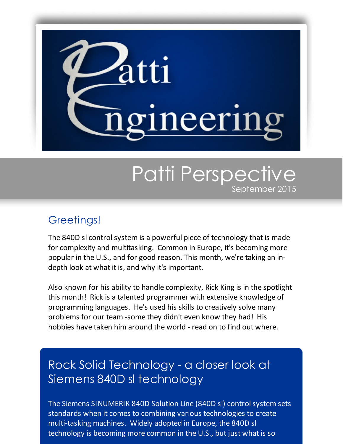

# Patti Perspective September 2015

## Greetings!

The 840D sl control system is a powerful piece of technology that is made for complexity and multitasking. Common in Europe, it's becoming more popular in the U.S., and for good reason. This month, we're taking an indepth look at what it is, and why it's important.

Also known for his ability to handle complexity, Rick King is in the spotlight this month! Rick is a talented programmer with extensive knowledge of programming languages. He's used his skills to creatively solve many problems for our team -some they didn't even know they had! His hobbies have taken him around the world - read on to find out where.

# Rock Solid Technology - a closer look at Siemens 840D sl technology

The Siemens SINUMERIK 840D Solution Line (840D sl) control system sets standards when it comes to combining various technologies to create multi-tasking machines. Widely adopted in Europe, the 840D sl technology is becoming more common in the U.S., but just what is so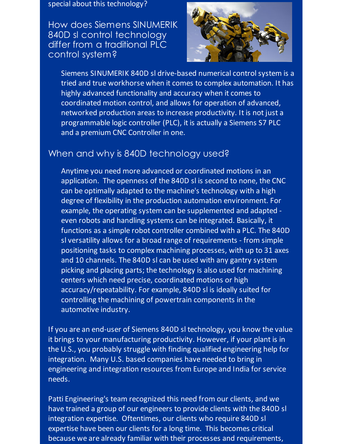#### special about this technology?

How does Siemens SINUMERIK 840D sl control technology differ from a traditional PLC control system?



Siemens SINUMERIK 840D sl drive-based numerical control system is a tried and true workhorse when it comes to complex automation. It has highly advanced functionality and accuracy when it comes to coordinated motion control, and allows for operation of advanced, networked production areas to increase productivity. It is not just a programmable logic controller (PLC), it is actually a Siemens S7 PLC and a premium CNC Controller in one.

### When and why is 840D technology used?

Anytime you need more advanced or coordinated motions in an application. The openness of the 840D sl is second to none, the CNC can be optimally adapted to the machine's technology with a high degree of flexibility in the production automation environment. For example, the operating system can be supplemented and adapted even robots and handling systems can be integrated. Basically, it functions as a simple robot controller combined with a PLC. The 840D sl versatility allows for a broad range of requirements - from simple positioning tasks to complex machining processes, with up to 31 axes and 10 channels. The 840D sl can be used with any gantry system picking and placing parts; the technology is also used for machining centers which need precise, coordinated motions or high accuracy/repeatability. For example, 840D sl is ideally suited for controlling the machining of powertrain components in the automotive industry.

If you are an end-user of Siemens 840D sl technology, you know the value it brings to your manufacturing productivity. However, if your plant is in the U.S., you probably struggle with finding qualified engineering help for integration. Many U.S. based companies have needed to bring in engineering and integration resources from Europe and India for service needs.

Patti Engineering's team recognized this need from our clients, and we have trained a group of our engineers to provide clients with the 840D sl integration expertise. Oftentimes, our clients who require 840D sl expertise have been our clients for a long time. This becomes critical because we are already familiar with their processes and requirements,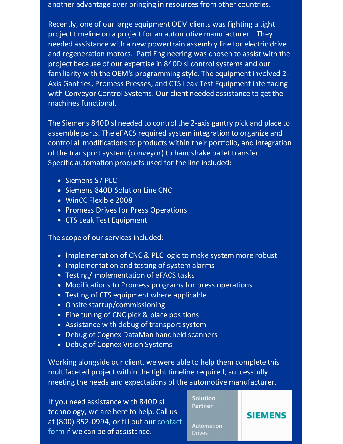another advantage over bringing in resources from other countries.

Recently, one of our large equipment OEM clients was fighting a tight project timeline on a project for an automotive manufacturer. They needed assistance with a new powertrain assembly line for electric drive and regeneration motors. Patti Engineering was chosen to assist with the project because of our expertise in 840D sl control systems and our familiarity with the OEM's programming style. The equipment involved 2- Axis Gantries, Promess Presses, and CTS Leak Test Equipment interfacing with Conveyor Control Systems. Our client needed assistance to get the machines functional.

The Siemens 840D sl needed to control the 2-axis gantry pick and place to assemble parts. The eFACS required system integration to organize and control all modifications to products within their portfolio, and integration of the transport system (conveyor) to handshake pallet transfer. Specific automation products used for the line included:

- Siemens S7 PLC
- Siemens 840D Solution Line CNC
- WinCC Flexible 2008
- Promess Drives for Press Operations
- CTS Leak Test Equipment

The scope of our services included:

- Implementation of CNC & PLC logic to make system more robust
- Implementation and testing of system alarms
- Testing/Implementation of eFACS tasks
- Modifications to Promess programs for press operations
- Testing of CTS equipment where applicable
- Onsite startup/commissioning
- Fine tuning of CNC pick & place positions
- Assistance with debug of transport system
- Debug of Cognex DataMan handheld scanners
- Debug of Cognex Vision Systems

Working alongside our client, we were able to help them complete this multifaceted project within the tight timeline required, successfully meeting the needs and expectations of the automotive manufacturer.

If you need assistance with 840D sl technology, we are here to help. Call us at (800) 852-0994, or fill out our contact form if we can be of [assistance.](http://pattiengineering.com/contact/?utm_source=Patti+Perspective_September_2015&utm_campaign=Newsletter+September+2015&utm_medium=email)

**Solution Partner** 

Automation **Drives** 

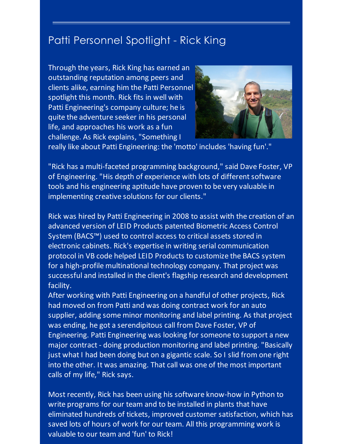## Patti Personnel Spotlight - Rick King

Through the years, Rick King has earned an outstanding reputation among peers and clients alike, earning him the Patti Personnel spotlight this month. Rick fits in well with Patti Engineering's company culture; he is quite the adventure seeker in his personal life, and approaches his work as a fun challenge. As Rick explains, "Something I



really like about Patti Engineering: the 'motto' includes 'having fun'."

"Rick has a multi-faceted programming background," said Dave Foster, VP of Engineering. "His depth of experience with lots of different software tools and his engineering aptitude have proven to be very valuable in implementing creative solutions for our clients."

Rick was hired by Patti Engineering in 2008 to assist with the creation of an advanced version of LEID Products patented Biometric Access Control System (BACS™) used to control access to critical assets stored in electronic cabinets. Rick's expertise in writing serial communication protocol in VB code helped LEID Products to customize the BACS system for a high-profile multinational technology company. That project was successful and installed in the client's flagship research and development facility.

After working with Patti Engineering on a handful of other projects, Rick had moved on from Patti and was doing contract work for an auto supplier, adding some minor monitoring and label printing. As that project was ending, he got a serendipitous call from Dave Foster, VP of Engineering. Patti Engineering was looking for someone to support a new major contract - doing production monitoring and label printing. "Basically just what I had been doing but on a gigantic scale. So I slid from one right into the other. It was amazing. That call was one of the most important calls of my life," Rick says.

Most recently, Rick has been using his software know-how in Python to write programs for our team and to be installed in plants that have eliminated hundreds of tickets, improved customer satisfaction, which has saved lots of hours of work for our team. All this programming work is valuable to our team and 'fun' to Rick!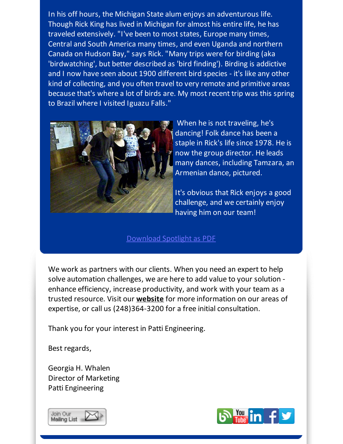In his off hours, the Michigan State alum enjoys an adventurous life. Though Rick King has lived in Michigan for almost his entire life, he has traveled extensively. "I've been to most states, Europe many times, Central and South America many times, and even Uganda and northern Canada on Hudson Bay," says Rick. "Many trips were for birding (aka 'birdwatching', but better described as 'bird finding'). Birding is addictive and I now have seen about 1900 different bird species - it's like any other kind of collecting, and you often travel to very remote and primitive areas because that's where a lot of birds are. My most recent trip was this spring to Brazil where I visited Iguazu Falls."



When he is not traveling, he's dancing! Folk dance has been a staple in Rick's life since 1978. He is now the group director. He leads many dances, including Tamzara, an Armenian dance, pictured.

It's obvious that Rick enjoys a good challenge, and we certainly enjoy having him on our team!

#### [Download](http://files.ctctcdn.com/59cb3837001/7b5f74f8-ae62-4e39-bfc2-fdab57fc9629.pdf?utm_source=Patti+Perspective_September_2015&utm_campaign=Newsletter+September+2015&utm_medium=email) Spotlight as PDF

We work as partners with our clients. When you need an expert to help solve automation challenges, we are here to add value to your solution enhance efficiency, increase productivity, and work with your team as a trusted resource. Visit our **[website](http://www.pattieng.com/?utm_source=Patti+Perspective_September_2015&utm_campaign=Newsletter+September+2015&utm_medium=email)** for more information on our areas of expertise, or call us (248)364-3200 for a free initial consultation.

Thank you for your interest in Patti Engineering.

Best regards,

Georgia H. Whalen Director of Marketing Patti Engineering